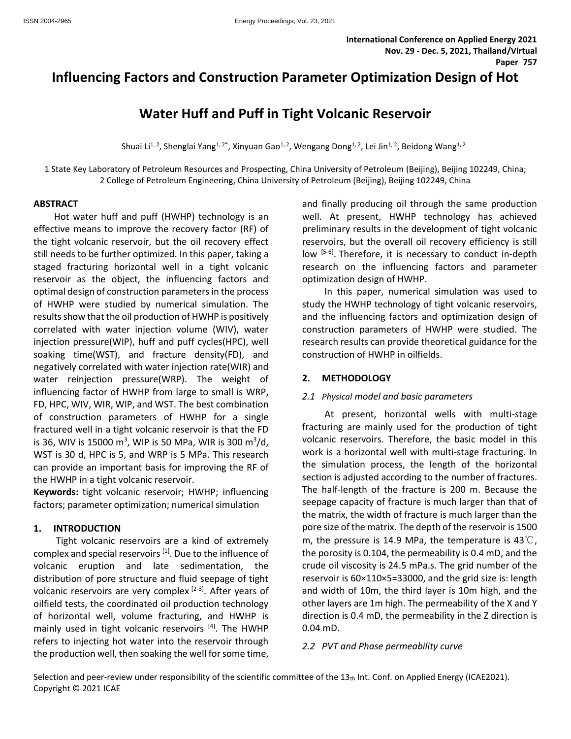# **Influencing Factors and Construction Parameter Optimization Design of Hot**

# **Water Huff and Puff in Tight Volcanic Reservoir**

Shuai Li<sup>1, 2</sup>, Shenglai Yang<sup>1, 2\*</sup>, Xinyuan Gao<sup>1, 2</sup>, Wengang Dong<sup>1, 2</sup>, Lei Jin<sup>1, 2</sup>, Beidong Wang<sup>1, 2</sup>

1 State Key Laboratory of Petroleum Resources and Prospecting, China University of Petroleum (Beijing), Beijing 102249, China; 2 College of Petroleum Engineering, China University of Petroleum (Beijing), Beijing 102249, China

#### **ABSTRACT**

Hot water huff and puff (HWHP) technology is an effective means to improve the recovery factor (RF) of the tight volcanic reservoir, but the oil recovery effect still needs to be further optimized. In this paper, taking a staged fracturing horizontal well in a tight volcanic reservoir as the object, the influencing factors and optimal design of construction parameters in the process of HWHP were studied by numerical simulation. The results show that the oil production of HWHP is positively correlated with water injection volume (WIV), water injection pressure(WIP), huff and puff cycles(HPC), well soaking time(WST), and fracture density(FD), and negatively correlated with water injection rate(WIR) and water reinjection pressure(WRP). The weight of influencing factor of HWHP from large to small is WRP, FD, HPC, WIV, WIR, WIP, and WST. The best combination of construction parameters of HWHP for a single fractured well in a tight volcanic reservoir is that the FD is 36, WIV is 15000 m<sup>3</sup>, WIP is 50 MPa, WIR is 300 m<sup>3</sup>/d, WST is 30 d, HPC is 5, and WRP is 5 MPa. This research can provide an important basis for improving the RF of the HWHP in a tight volcanic reservoir.

**Keywords:** tight volcanic reservoir; HWHP; influencing factors; parameter optimization; numerical simulation

## **1. INTRODUCTION**

Tight volcanic reservoirs are a kind of extremely complex and special reservoirs <sup>[1]</sup>. Due to the influence of volcanic eruption and late sedimentation, the distribution of pore structure and fluid seepage of tight volcanic reservoirs are very complex [2-3]. After years of oilfield tests, the coordinated oil production technology of horizontal well, volume fracturing, and HWHP is mainly used in tight volcanic reservoirs [4]. The HWHP refers to injecting hot water into the reservoir through the production well, then soaking the well for some time,

and finally producing oil through the same production well. At present, HWHP technology has achieved preliminary results in the development of tight volcanic reservoirs, but the overall oil recovery efficiency is still low [5-6]. Therefore, it is necessary to conduct in-depth research on the influencing factors and parameter optimization design of HWHP.

In this paper, numerical simulation was used to study the HWHP technology of tight volcanic reservoirs, and the influencing factors and optimization design of construction parameters of HWHP were studied. The research results can provide theoretical guidance for the construction of HWHP in oilfields.

# **2. METHODOLOGY**

## *2.1 Physical model and basic parameters*

At present, horizontal wells with multi-stage fracturing are mainly used for the production of tight volcanic reservoirs. Therefore, the basic model in this work is a horizontal well with multi-stage fracturing. In the simulation process, the length of the horizontal section is adjusted according to the number of fractures. The half-length of the fracture is 200 m. Because the seepage capacity of fracture is much larger than that of the matrix, the width of fracture is much larger than the pore size of the matrix. The depth of the reservoir is 1500 m, the pressure is 14.9 MPa, the temperature is 43 $\degree$ C, the porosity is 0.104, the permeability is 0.4 mD, and the crude oil viscosity is 24.5 mPa.s. The grid number of the reservoir is 60×110×5=33000, and the grid size is: length and width of 10m, the third layer is 10m high, and the other layers are 1m high. The permeability of the X and Y direction is 0.4 mD, the permeability in the Z direction is 0.04 mD.

## *2.2 PVT and Phase permeability curve*

Selection and peer-review under responsibility of the scientific committee of the  $13<sub>th</sub>$  Int. Conf. on Applied Energy (ICAE2021). Copyright © 2021 ICAE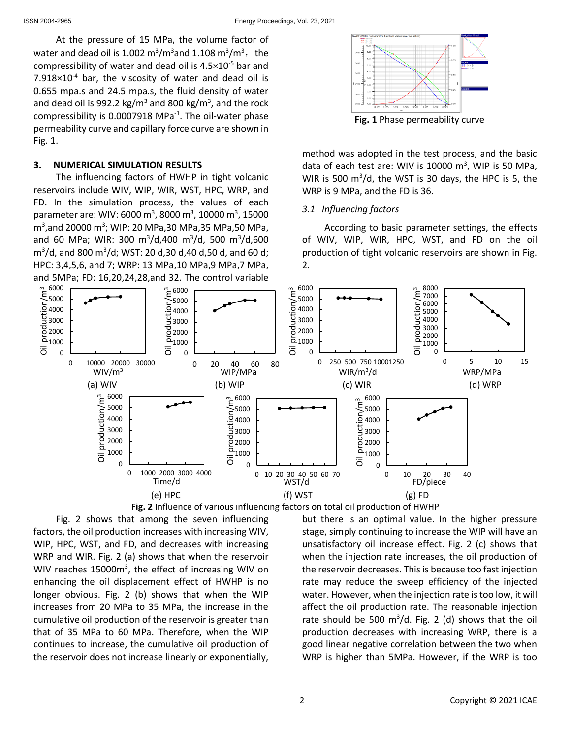At the pressure of 15 MPa, the volume factor of water and dead oil is 1.002  $\text{m}^3/\text{m}^3$ and 1.108  $\text{m}^3/\text{m}^3$ , the compressibility of water and dead oil is  $4.5 \times 10^{-5}$  bar and  $7.918\times10^{-4}$  bar, the viscosity of water and dead oil is 0.655 mpa.s and 24.5 mpa.s, the fluid density of water and dead oil is 992.2 kg/m<sup>3</sup> and 800 kg/m<sup>3</sup>, and the rock compressibility is 0.0007918 MPa $^{-1}$ . The oil-water phase permeability curve and capillary force curve are shown in Fig. 1.

### **3. NUMERICAL SIMULATION RESULTS**

The influencing factors of HWHP in tight volcanic reservoirs include WIV, WIP, WIR, WST, HPC, WRP, and FD. In the simulation process, the values of each parameter are: WIV: 6000 m<sup>3</sup>, 8000 m<sup>3</sup>, 10000 m<sup>3</sup>, 15000 m<sup>3</sup>,and 20000 m<sup>3</sup>; WIP: 20 MPa,30 MPa,35 MPa,50 MPa, and 60 MPa; WIR: 300 m<sup>3</sup>/d,400 m<sup>3</sup>/d, 500 m<sup>3</sup>/d,600  $\text{m}^3/\text{d}$ , and 800  $\text{m}^3/\text{d}$ ; WST: 20 d,30 d,40 d,50 d, and 60 d; HPC: 3,4,5,6, and 7; WRP: 13 MPa,10 MPa,9 MPa,7 MPa, and 5MPa; FD: 16,20,24,28,and 32. The control variable



method was adopted in the test process, and the basic data of each test are: WIV is  $10000$  m<sup>3</sup>, WIP is 50 MPa, WIR is 500  $\mathrm{m}^3/\mathrm{d}$ , the WST is 30 days, the HPC is 5, the WRP is 9 MPa, and the FD is 36.

### *3.1 Influencing factors*

According to basic parameter settings, the effects of WIV, WIP, WIR, HPC, WST, and FD on the oil production of tight volcanic reservoirs are shown in Fig. 2.



Fig. 2 shows that among the seven influencing factors, the oil production increases with increasing WIV, WIP, HPC, WST, and FD, and decreases with increasing WRP and WIR. Fig. 2 (a) shows that when the reservoir WIV reaches 15000m<sup>3</sup>, the effect of increasing WIV on enhancing the oil displacement effect of HWHP is no longer obvious. Fig. 2 (b) shows that when the WIP increases from 20 MPa to 35 MPa, the increase in the cumulative oil production of the reservoir is greater than that of 35 MPa to 60 MPa. Therefore, when the WIP continues to increase, the cumulative oil production of the reservoir does not increase linearly or exponentially,



but there is an optimal value. In the higher pressure stage, simply continuing to increase the WIP will have an unsatisfactory oil increase effect. Fig. 2 (c) shows that when the injection rate increases, the oil production of the reservoir decreases. This is because too fast injection rate may reduce the sweep efficiency of the injected water. However, when the injection rate is too low, it will affect the oil production rate. The reasonable injection rate should be 500  $m^3/d$ . Fig. 2 (d) shows that the oil production decreases with increasing WRP, there is a good linear negative correlation between the two when WRP is higher than 5MPa. However, if the WRP is too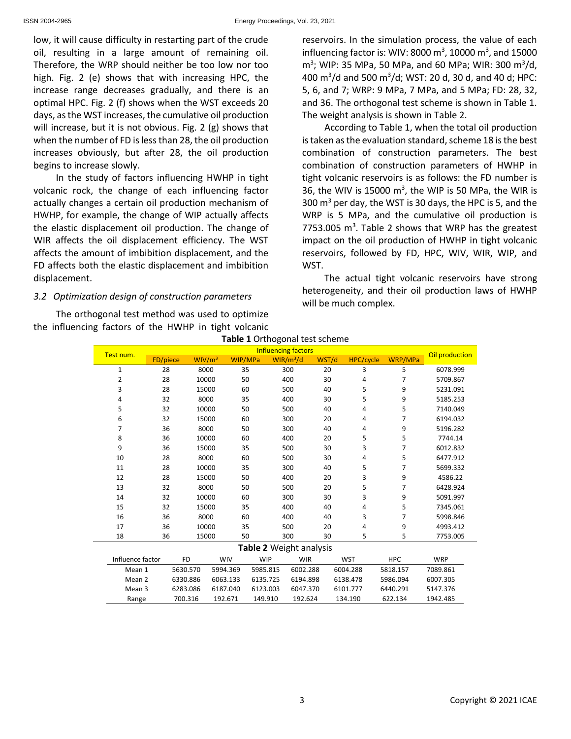low, it will cause difficulty in restarting part of the crude oil, resulting in a large amount of remaining oil. Therefore, the WRP should neither be too low nor too high. Fig. 2 (e) shows that with increasing HPC, the increase range decreases gradually, and there is an optimal HPC. Fig. 2 (f) shows when the WST exceeds 20 days, as the WST increases, the cumulative oil production will increase, but it is not obvious. Fig. 2 (g) shows that when the number of FD is less than 28, the oil production increases obviously, but after 28, the oil production begins to increase slowly.

In the study of factors influencing HWHP in tight volcanic rock, the change of each influencing factor actually changes a certain oil production mechanism of HWHP, for example, the change of WIP actually affects the elastic displacement oil production. The change of WIR affects the oil displacement efficiency. The WST affects the amount of imbibition displacement, and the FD affects both the elastic displacement and imbibition displacement.

# *3.2 Optimization design of construction parameters*

The orthogonal test method was used to optimize the influencing factors of the HWHP in tight volcanic reservoirs. In the simulation process, the value of each influencing factor is: WIV: 8000  $\text{m}^3$ , 10000  $\text{m}^3$ , and 15000 m<sup>3</sup>; WIP: 35 MPa, 50 MPa, and 60 MPa; WIR: 300 m<sup>3</sup>/d, 400 m<sup>3</sup> /d and 500 m<sup>3</sup> /d; WST: 20 d, 30 d, and 40 d; HPC: 5, 6, and 7; WRP: 9 MPa, 7 MPa, and 5 MPa; FD: 28, 32, and 36. The orthogonal test scheme is shown in Table 1. The weight analysis is shown in Table 2.

According to Table 1, when the total oil production is taken as the evaluation standard, scheme 18 is the best combination of construction parameters. The best combination of construction parameters of HWHP in tight volcanic reservoirs is as follows: the FD number is 36, the WIV is 15000  $\text{m}^3$ , the WIP is 50 MPa, the WIR is 300  $m<sup>3</sup>$  per day, the WST is 30 days, the HPC is 5, and the WRP is 5 MPa, and the cumulative oil production is 7753.005  $m^3$ . Table 2 shows that WRP has the greatest impact on the oil production of HWHP in tight volcanic reservoirs, followed by FD, HPC, WIV, WIR, WIP, and WST.

The actual tight volcanic reservoirs have strong heterogeneity, and their oil production laws of HWHP will be much complex.

| Table 1 Orthogonal test scheme |                         |                            |                    |            |          |                       |       |                  |            |                |
|--------------------------------|-------------------------|----------------------------|--------------------|------------|----------|-----------------------|-------|------------------|------------|----------------|
|                                | Test num.               | <b>Influencing factors</b> |                    |            |          |                       |       |                  |            | Oil production |
|                                |                         | FD/piece                   | WIV/m <sup>3</sup> | WIP/MPa    |          | WIR/m <sup>3</sup> /d | WST/d | <b>HPC/cycle</b> | WRP/MPa    |                |
|                                | $\mathbf{1}$            | 28                         | 8000               | 35         |          | 300                   | 20    | 3                | 5          | 6078.999       |
|                                | 2                       | 28                         | 10000              | 50         |          | 400                   | 30    | 4                | 7          | 5709.867       |
|                                | 3                       | 28                         | 15000              | 60         |          | 500                   | 40    | 5                | 9          | 5231.091       |
|                                | 4                       | 32                         | 8000               | 35         |          | 400                   | 30    | 5                | 9          | 5185.253       |
|                                | 5                       | 32                         | 10000              | 50         |          | 500                   | 40    | 4                | 5          | 7140.049       |
|                                | 6                       | 32                         | 15000              | 60         |          | 300                   | 20    | 4                | 7          | 6194.032       |
|                                | 7                       | 36                         | 8000               |            | 50       | 300                   | 40    | 4                | 9          | 5196.282       |
|                                | 8                       | 36                         | 10000              | 60         |          | 400                   | 20    | 5                | 5          | 7744.14        |
|                                | 9                       | 36                         | 15000              | 35         |          | 500                   | 30    | 3                | 7          | 6012.832       |
|                                | 10                      | 28                         | 8000               | 60         |          | 500                   | 30    | 4                | 5          | 6477.912       |
|                                | 11                      | 28                         | 10000              | 35         |          | 300                   | 40    | 5                | 7          | 5699.332       |
|                                | 12                      | 28                         | 15000              |            | 50       | 400                   | 20    | 3                | 9          | 4586.22        |
|                                | 13                      | 32                         |                    | 8000<br>50 |          | 500                   | 20    | 5                | 7          | 6428.924       |
|                                | 14                      | 32                         |                    | 10000      | 60       | 300                   | 30    | 3                | 9          | 5091.997       |
| 15                             |                         | 32                         | 15000              |            | 35       | 400                   | 40    | 4                | 5          | 7345.061       |
|                                | 16                      | 36                         | 8000               | 60         |          | 400                   | 40    | 3                | 7          | 5998.846       |
|                                | 17                      | 36                         | 10000              | 35         |          | 500                   | 20    | 4                | 9          | 4993.412       |
|                                | 18                      | 36                         | 15000              | 50         |          | 300                   | 30    | 5                | 5          | 7753.005       |
|                                | Table 2 Weight analysis |                            |                    |            |          |                       |       |                  |            |                |
|                                | Influence factor        |                            | <b>FD</b>          | <b>WIV</b> | WIP      | <b>WIR</b>            |       | <b>WST</b>       | <b>HPC</b> | <b>WRP</b>     |
|                                | Mean 1                  |                            | 5630.570           | 5994.369   | 5985.815 | 6002.288              |       | 6004.288         | 5818.157   | 7089.861       |
|                                | Mean <sub>2</sub>       |                            | 6330.886           | 6063.133   | 6135.725 | 6194.898              |       | 6138.478         | 5986.094   | 6007.305       |
|                                | Mean 3                  |                            | 6283.086           | 6187.040   | 6123.003 | 6047.370              |       | 6101.777         | 6440.291   | 5147.376       |
|                                | Range                   |                            | 700.316            | 192.671    | 149.910  | 192.624               |       | 134.190          | 622.134    | 1942.485       |